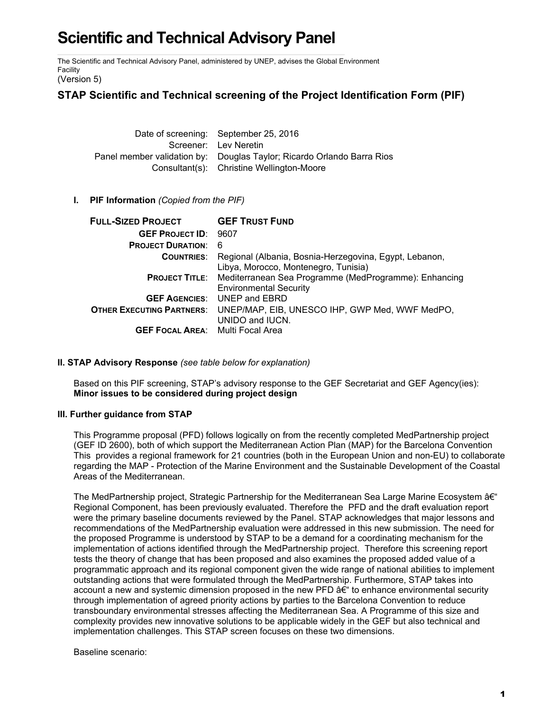# **Scientific and Technical Advisory Panel**

The Scientific and Technical Advisory Panel, administered by UNEP, advises the Global Environment Facility

(Version 5)

## **STAP Scientific and Technical screening of the Project Identification Form (PIF)**

Date of screening: September 25, 2016 Screener: Lev Neretin Panel member validation by: Douglas Taylor; Ricardo Orlando Barra Rios Consultant(s): Christine Wellington-Moore

## **I. PIF Information** *(Copied from the PIF)*

| <b>FULL-SIZED PROJECT</b>               | <b>GEF TRUST FUND</b>                                                                                        |
|-----------------------------------------|--------------------------------------------------------------------------------------------------------------|
| <b>GEF PROJECT ID: 9607</b>             |                                                                                                              |
| <b>PROJECT DURATION:</b>                | -6                                                                                                           |
| <b>COUNTRIES:</b>                       | Regional (Albania, Bosnia-Herzegovina, Egypt, Lebanon,<br>Libya, Morocco, Montenegro, Tunisia)               |
|                                         | <b>PROJECT TITLE:</b> Mediterranean Sea Programme (MedProgramme): Enhancing<br><b>Environmental Security</b> |
|                                         | <b>GEF AGENCIES:</b> UNEP and EBRD                                                                           |
| <b>OTHER EXECUTING PARTNERS:</b>        | UNEP/MAP, EIB, UNESCO IHP, GWP Med, WWF MedPO,                                                               |
|                                         | UNIDO and IUCN.                                                                                              |
| <b>GEF FOCAL AREA:</b> Multi Focal Area |                                                                                                              |

## **II. STAP Advisory Response** *(see table below for explanation)*

Based on this PIF screening, STAP's advisory response to the GEF Secretariat and GEF Agency(ies): **Minor issues to be considered during project design**

## **III. Further guidance from STAP**

This Programme proposal (PFD) follows logically on from the recently completed MedPartnership project (GEF ID 2600), both of which support the Mediterranean Action Plan (MAP) for the Barcelona Convention This provides a regional framework for 21 countries (both in the European Union and non-EU) to collaborate regarding the MAP - Protection of the Marine Environment and the Sustainable Development of the Coastal Areas of the Mediterranean.

The MedPartnership project, Strategic Partnership for the Mediterranean Sea Large Marine Ecosystem  $\hat{a}\in$ " Regional Component, has been previously evaluated. Therefore the PFD and the draft evaluation report were the primary baseline documents reviewed by the Panel. STAP acknowledges that major lessons and recommendations of the MedPartnership evaluation were addressed in this new submission. The need for the proposed Programme is understood by STAP to be a demand for a coordinating mechanism for the implementation of actions identified through the MedPartnership project. Therefore this screening report tests the theory of change that has been proposed and also examines the proposed added value of a programmatic approach and its regional component given the wide range of national abilities to implement outstanding actions that were formulated through the MedPartnership. Furthermore, STAP takes into account a new and systemic dimension proposed in the new PFD  $\hat{a} \in \hat{a}$  to enhance environmental security through implementation of agreed priority actions by parties to the Barcelona Convention to reduce transboundary environmental stresses affecting the Mediterranean Sea. A Programme of this size and complexity provides new innovative solutions to be applicable widely in the GEF but also technical and implementation challenges. This STAP screen focuses on these two dimensions.

Baseline scenario: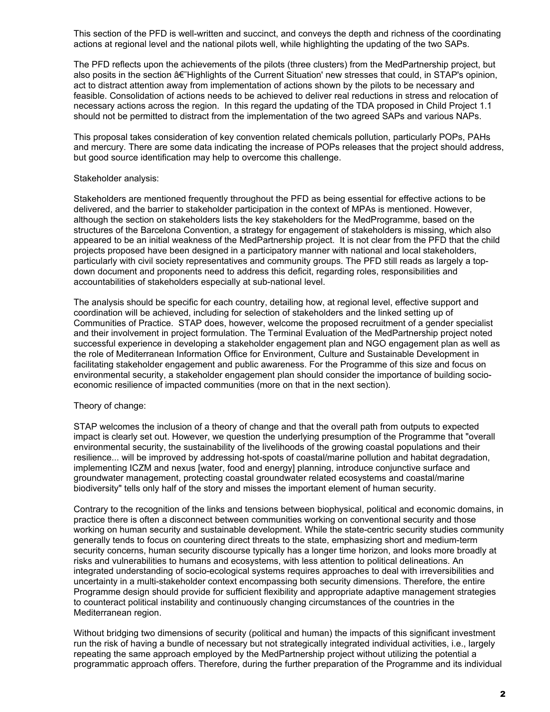This section of the PFD is well-written and succinct, and conveys the depth and richness of the coordinating actions at regional level and the national pilots well, while highlighting the updating of the two SAPs.

The PFD reflects upon the achievements of the pilots (three clusters) from the MedPartnership project, but also posits in the section  $\hat{\sigma} \in H$ ighlights of the Current Situation' new stresses that could, in STAP's opinion, act to distract attention away from implementation of actions shown by the pilots to be necessary and feasible. Consolidation of actions needs to be achieved to deliver real reductions in stress and relocation of necessary actions across the region. In this regard the updating of the TDA proposed in Child Project 1.1 should not be permitted to distract from the implementation of the two agreed SAPs and various NAPs.

This proposal takes consideration of key convention related chemicals pollution, particularly POPs, PAHs and mercury. There are some data indicating the increase of POPs releases that the project should address, but good source identification may help to overcome this challenge.

#### Stakeholder analysis:

Stakeholders are mentioned frequently throughout the PFD as being essential for effective actions to be delivered, and the barrier to stakeholder participation in the context of MPAs is mentioned. However, although the section on stakeholders lists the key stakeholders for the MedProgramme, based on the structures of the Barcelona Convention, a strategy for engagement of stakeholders is missing, which also appeared to be an initial weakness of the MedPartnership project. It is not clear from the PFD that the child projects proposed have been designed in a participatory manner with national and local stakeholders, particularly with civil society representatives and community groups. The PFD still reads as largely a topdown document and proponents need to address this deficit, regarding roles, responsibilities and accountabilities of stakeholders especially at sub-national level.

The analysis should be specific for each country, detailing how, at regional level, effective support and coordination will be achieved, including for selection of stakeholders and the linked setting up of Communities of Practice. STAP does, however, welcome the proposed recruitment of a gender specialist and their involvement in project formulation. The Terminal Evaluation of the MedPartnership project noted successful experience in developing a stakeholder engagement plan and NGO engagement plan as well as the role of Mediterranean Information Office for Environment, Culture and Sustainable Development in facilitating stakeholder engagement and public awareness. For the Programme of this size and focus on environmental security, a stakeholder engagement plan should consider the importance of building socioeconomic resilience of impacted communities (more on that in the next section).

#### Theory of change:

STAP welcomes the inclusion of a theory of change and that the overall path from outputs to expected impact is clearly set out. However, we question the underlying presumption of the Programme that "overall environmental security, the sustainability of the livelihoods of the growing coastal populations and their resilience... will be improved by addressing hot-spots of coastal/marine pollution and habitat degradation, implementing ICZM and nexus [water, food and energy] planning, introduce conjunctive surface and groundwater management, protecting coastal groundwater related ecosystems and coastal/marine biodiversity" tells only half of the story and misses the important element of human security.

Contrary to the recognition of the links and tensions between biophysical, political and economic domains, in practice there is often a disconnect between communities working on conventional security and those working on human security and sustainable development. While the state-centric security studies community generally tends to focus on countering direct threats to the state, emphasizing short and medium-term security concerns, human security discourse typically has a longer time horizon, and looks more broadly at risks and vulnerabilities to humans and ecosystems, with less attention to political delineations. An integrated understanding of socio-ecological systems requires approaches to deal with irreversibilities and uncertainty in a multi-stakeholder context encompassing both security dimensions. Therefore, the entire Programme design should provide for sufficient flexibility and appropriate adaptive management strategies to counteract political instability and continuously changing circumstances of the countries in the Mediterranean region.

Without bridging two dimensions of security (political and human) the impacts of this significant investment run the risk of having a bundle of necessary but not strategically integrated individual activities, i.e., largely repeating the same approach employed by the MedPartnership project without utilizing the potential a programmatic approach offers. Therefore, during the further preparation of the Programme and its individual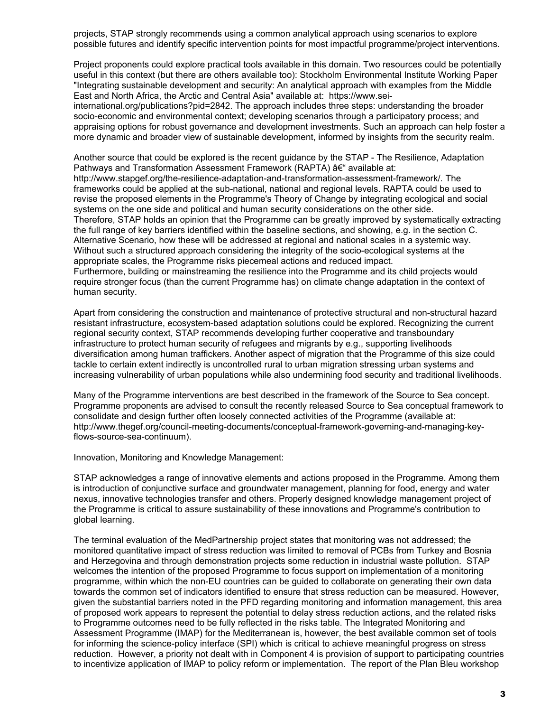projects, STAP strongly recommends using a common analytical approach using scenarios to explore possible futures and identify specific intervention points for most impactful programme/project interventions.

Project proponents could explore practical tools available in this domain. Two resources could be potentially useful in this context (but there are others available too): Stockholm Environmental Institute Working Paper "Integrating sustainable development and security: An analytical approach with examples from the Middle East and North Africa, the Arctic and Central Asia" available at: https://www.sei-

international.org/publications?pid=2842. The approach includes three steps: understanding the broader socio-economic and environmental context; developing scenarios through a participatory process; and appraising options for robust governance and development investments. Such an approach can help foster a more dynamic and broader view of sustainable development, informed by insights from the security realm.

Another source that could be explored is the recent guidance by the STAP - The Resilience, Adaptation Pathways and Transformation Assessment Framework (RAPTA) †available at: http://www.stapgef.org/the-resilience-adaptation-and-transformation-assessment-framework/. The frameworks could be applied at the sub-national, national and regional levels. RAPTA could be used to revise the proposed elements in the Programme's Theory of Change by integrating ecological and social systems on the one side and political and human security considerations on the other side. Therefore, STAP holds an opinion that the Programme can be greatly improved by systematically extracting the full range of key barriers identified within the baseline sections, and showing, e.g. in the section C. Alternative Scenario, how these will be addressed at regional and national scales in a systemic way. Without such a structured approach considering the integrity of the socio-ecological systems at the appropriate scales, the Programme risks piecemeal actions and reduced impact. Furthermore, building or mainstreaming the resilience into the Programme and its child projects would require stronger focus (than the current Programme has) on climate change adaptation in the context of human security.

Apart from considering the construction and maintenance of protective structural and non-structural hazard resistant infrastructure, ecosystem-based adaptation solutions could be explored. Recognizing the current regional security context, STAP recommends developing further cooperative and transboundary infrastructure to protect human security of refugees and migrants by e.g., supporting livelihoods diversification among human traffickers. Another aspect of migration that the Programme of this size could tackle to certain extent indirectly is uncontrolled rural to urban migration stressing urban systems and increasing vulnerability of urban populations while also undermining food security and traditional livelihoods.

Many of the Programme interventions are best described in the framework of the Source to Sea concept. Programme proponents are advised to consult the recently released Source to Sea conceptual framework to consolidate and design further often loosely connected activities of the Programme (available at: http://www.thegef.org/council-meeting-documents/conceptual-framework-governing-and-managing-keyflows-source-sea-continuum).

Innovation, Monitoring and Knowledge Management:

STAP acknowledges a range of innovative elements and actions proposed in the Programme. Among them is introduction of conjunctive surface and groundwater management, planning for food, energy and water nexus, innovative technologies transfer and others. Properly designed knowledge management project of the Programme is critical to assure sustainability of these innovations and Programme's contribution to global learning.

The terminal evaluation of the MedPartnership project states that monitoring was not addressed; the monitored quantitative impact of stress reduction was limited to removal of PCBs from Turkey and Bosnia and Herzegovina and through demonstration projects some reduction in industrial waste pollution. STAP welcomes the intention of the proposed Programme to focus support on implementation of a monitoring programme, within which the non-EU countries can be guided to collaborate on generating their own data towards the common set of indicators identified to ensure that stress reduction can be measured. However, given the substantial barriers noted in the PFD regarding monitoring and information management, this area of proposed work appears to represent the potential to delay stress reduction actions, and the related risks to Programme outcomes need to be fully reflected in the risks table. The Integrated Monitoring and Assessment Programme (IMAP) for the Mediterranean is, however, the best available common set of tools for informing the science-policy interface (SPI) which is critical to achieve meaningful progress on stress reduction. However, a priority not dealt with in Component 4 is provision of support to participating countries to incentivize application of IMAP to policy reform or implementation. The report of the Plan Bleu workshop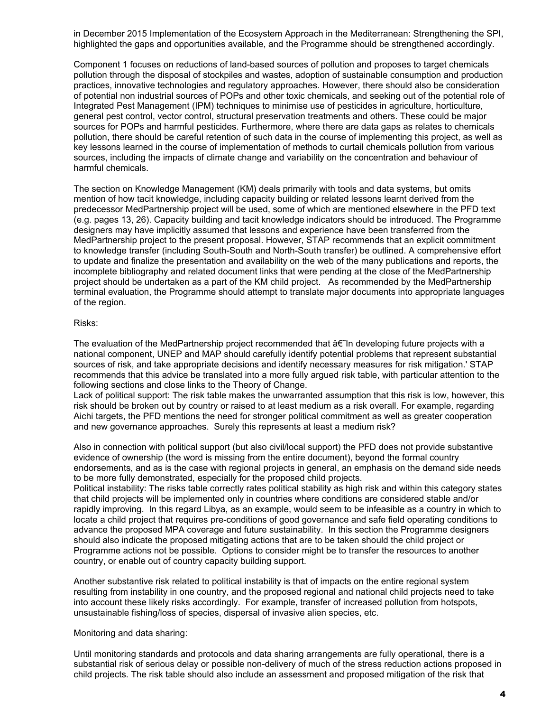in December 2015 Implementation of the Ecosystem Approach in the Mediterranean: Strengthening the SPI, highlighted the gaps and opportunities available, and the Programme should be strengthened accordingly.

Component 1 focuses on reductions of land-based sources of pollution and proposes to target chemicals pollution through the disposal of stockpiles and wastes, adoption of sustainable consumption and production practices, innovative technologies and regulatory approaches. However, there should also be consideration of potential non industrial sources of POPs and other toxic chemicals, and seeking out of the potential role of Integrated Pest Management (IPM) techniques to minimise use of pesticides in agriculture, horticulture, general pest control, vector control, structural preservation treatments and others. These could be major sources for POPs and harmful pesticides. Furthermore, where there are data gaps as relates to chemicals pollution, there should be careful retention of such data in the course of implementing this project, as well as key lessons learned in the course of implementation of methods to curtail chemicals pollution from various sources, including the impacts of climate change and variability on the concentration and behaviour of harmful chemicals.

The section on Knowledge Management (KM) deals primarily with tools and data systems, but omits mention of how tacit knowledge, including capacity building or related lessons learnt derived from the predecessor MedPartnership project will be used, some of which are mentioned elsewhere in the PFD text (e.g. pages 13, 26). Capacity building and tacit knowledge indicators should be introduced. The Programme designers may have implicitly assumed that lessons and experience have been transferred from the MedPartnership project to the present proposal. However, STAP recommends that an explicit commitment to knowledge transfer (including South-South and North-South transfer) be outlined. A comprehensive effort to update and finalize the presentation and availability on the web of the many publications and reports, the incomplete bibliography and related document links that were pending at the close of the MedPartnership project should be undertaken as a part of the KM child project. As recommended by the MedPartnership terminal evaluation, the Programme should attempt to translate major documents into appropriate languages of the region.

#### Risks:

The evaluation of the MedPartnership project recommended that  $\hat{a} \in \hat{I}$  in developing future projects with a national component, UNEP and MAP should carefully identify potential problems that represent substantial sources of risk, and take appropriate decisions and identify necessary measures for risk mitigation.' STAP recommends that this advice be translated into a more fully argued risk table, with particular attention to the following sections and close links to the Theory of Change.

Lack of political support: The risk table makes the unwarranted assumption that this risk is low, however, this risk should be broken out by country or raised to at least medium as a risk overall. For example, regarding Aichi targets, the PFD mentions the need for stronger political commitment as well as greater cooperation and new governance approaches. Surely this represents at least a medium risk?

Also in connection with political support (but also civil/local support) the PFD does not provide substantive evidence of ownership (the word is missing from the entire document), beyond the formal country endorsements, and as is the case with regional projects in general, an emphasis on the demand side needs to be more fully demonstrated, especially for the proposed child projects.

Political instability: The risks table correctly rates political stability as high risk and within this category states that child projects will be implemented only in countries where conditions are considered stable and/or rapidly improving. In this regard Libya, as an example, would seem to be infeasible as a country in which to locate a child project that requires pre-conditions of good governance and safe field operating conditions to advance the proposed MPA coverage and future sustainability. In this section the Programme designers should also indicate the proposed mitigating actions that are to be taken should the child project or Programme actions not be possible. Options to consider might be to transfer the resources to another country, or enable out of country capacity building support.

Another substantive risk related to political instability is that of impacts on the entire regional system resulting from instability in one country, and the proposed regional and national child projects need to take into account these likely risks accordingly. For example, transfer of increased pollution from hotspots, unsustainable fishing/loss of species, dispersal of invasive alien species, etc.

#### Monitoring and data sharing:

Until monitoring standards and protocols and data sharing arrangements are fully operational, there is a substantial risk of serious delay or possible non-delivery of much of the stress reduction actions proposed in child projects. The risk table should also include an assessment and proposed mitigation of the risk that